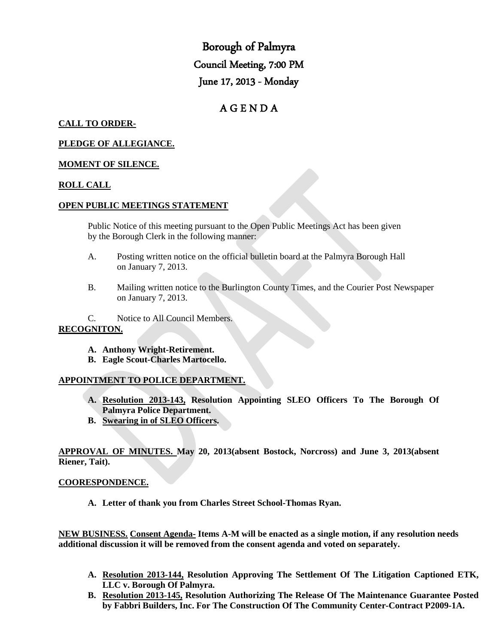Borough of Palmyra Council Meeting, 7:00 PM June 17, 2013 - Monday

# A G E N D A

## **CALL TO ORDER-**

### **PLEDGE OF ALLEGIANCE.**

### **MOMENT OF SILENCE.**

## **ROLL CALL**

### **OPEN PUBLIC MEETINGS STATEMENT**

Public Notice of this meeting pursuant to the Open Public Meetings Act has been given by the Borough Clerk in the following manner:

- A. Posting written notice on the official bulletin board at the Palmyra Borough Hall on January 7, 2013.
- B. Mailing written notice to the Burlington County Times, and the Courier Post Newspaper on January 7, 2013.

C. Notice to All Council Members.

### **RECOGNITON.**

- **A. Anthony Wright-Retirement.**
- **B. Eagle Scout-Charles Martocello.**

### **APPOINTMENT TO POLICE DEPARTMENT.**

- **A. Resolution 2013-143, Resolution Appointing SLEO Officers To The Borough Of Palmyra Police Department.**
- **B. Swearing in of SLEO Officers.**

**APPROVAL OF MINUTES. May 20, 2013(absent Bostock, Norcross) and June 3, 2013(absent Riener, Tait).**

### **COORESPONDENCE.**

**A. Letter of thank you from Charles Street School-Thomas Ryan.**

**NEW BUSINESS. Consent Agenda- Items A-M will be enacted as a single motion, if any resolution needs additional discussion it will be removed from the consent agenda and voted on separately.**

- **A. Resolution 2013-144, Resolution Approving The Settlement Of The Litigation Captioned ETK, LLC v. Borough Of Palmyra.**
- **B. Resolution 2013-145, Resolution Authorizing The Release Of The Maintenance Guarantee Posted by Fabbri Builders, Inc. For The Construction Of The Community Center-Contract P2009-1A.**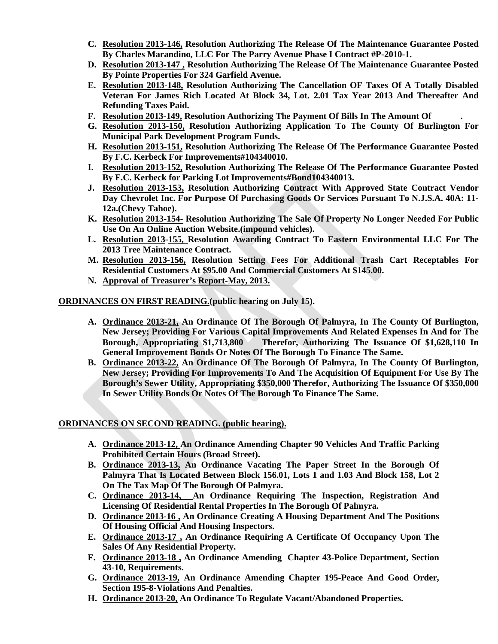- **C. Resolution 2013-146, Resolution Authorizing The Release Of The Maintenance Guarantee Posted By Charles Marandino, LLC For The Parry Avenue Phase I Contract #P-2010-1.**
- **D. Resolution 2013-147 , Resolution Authorizing The Release Of The Maintenance Guarantee Posted By Pointe Properties For 324 Garfield Avenue.**
- **E. Resolution 2013-148, Resolution Authorizing The Cancellation OF Taxes Of A Totally Disabled Veteran For James Rich Located At Block 34, Lot. 2.01 Tax Year 2013 And Thereafter And Refunding Taxes Paid.**
- **F. Resolution 2013-149, Resolution Authorizing The Payment Of Bills In The Amount Of .**
- **G. Resolution 2013-150, Resolution Authorizing Application To The County Of Burlington For Municipal Park Development Program Funds.**
- **H. Resolution 2013-151, Resolution Authorizing The Release Of The Performance Guarantee Posted By F.C. Kerbeck For Improvements#104340010.**
- **I. Resolution 2013-152, Resolution Authorizing The Release Of The Performance Guarantee Posted By F.C. Kerbeck for Parking Lot Improvements#Bond104340013.**
- **J. Resolution 2013-153, Resolution Authorizing Contract With Approved State Contract Vendor Day Chevrolet Inc. For Purpose Of Purchasing Goods Or Services Pursuant To N.J.S.A. 40A: 11- 12a.(Chevy Tahoe).**
- **K. Resolution 2013-154- Resolution Authorizing The Sale Of Property No Longer Needed For Public Use On An Online Auction Website.(impound vehicles).**
- **L. Resolution 2013-155, Resolution Awarding Contract To Eastern Environmental LLC For The 2013 Tree Maintenance Contract.**
- **M. Resolution 2013-156, Resolution Setting Fees For Additional Trash Cart Receptables For Residential Customers At \$95.00 And Commercial Customers At \$145.00.**
- **N. Approval of Treasurer's Report-May, 2013.**

### **ORDINANCES ON FIRST READING.(public hearing on July 15).**

- **A. Ordinance 2013-21, An Ordinance Of The Borough Of Palmyra, In The County Of Burlington, New Jersey; Providing For Various Capital Improvements And Related Expenses In And for The Borough, Appropriating \$1,713,800 Therefor, Authorizing The Issuance Of \$1,628,110 In General Improvement Bonds Or Notes Of The Borough To Finance The Same.**
- **B. Ordinance 2013-22, An Ordinance Of The Borough Of Palmyra, In The County Of Burlington, New Jersey; Providing For Improvements To And The Acquisition Of Equipment For Use By The Borough's Sewer Utility, Appropriating \$350,000 Therefor, Authorizing The Issuance Of \$350,000 In Sewer Utility Bonds Or Notes Of The Borough To Finance The Same.**

### **ORDINANCES ON SECOND READING. (public hearing).**

- **A. Ordinance 2013-12, An Ordinance Amending Chapter 90 Vehicles And Traffic Parking Prohibited Certain Hours (Broad Street).**
- **B. Ordinance 2013-13, An Ordinance Vacating The Paper Street In the Borough Of Palmyra That Is Located Between Block 156.01, Lots 1 and 1.03 And Block 158, Lot 2 On The Tax Map Of The Borough Of Palmyra.**
- **C. Ordinance 2013-14, An Ordinance Requiring The Inspection, Registration And Licensing Of Residential Rental Properties In The Borough Of Palmyra.**
- **D. Ordinance 2013-16 , An Ordinance Creating A Housing Department And The Positions Of Housing Official And Housing Inspectors.**
- **E. Ordinance 2013-17 , An Ordinance Requiring A Certificate Of Occupancy Upon The Sales Of Any Residential Property.**
- **F. Ordinance 2013-18 , An Ordinance Amending Chapter 43-Police Department, Section 43-10, Requirements.**
- **G. Ordinance 2013-19, An Ordinance Amending Chapter 195-Peace And Good Order, Section 195-8-Violations And Penalties.**
- **H. Ordinance 2013-20, An Ordinance To Regulate Vacant/Abandoned Properties.**